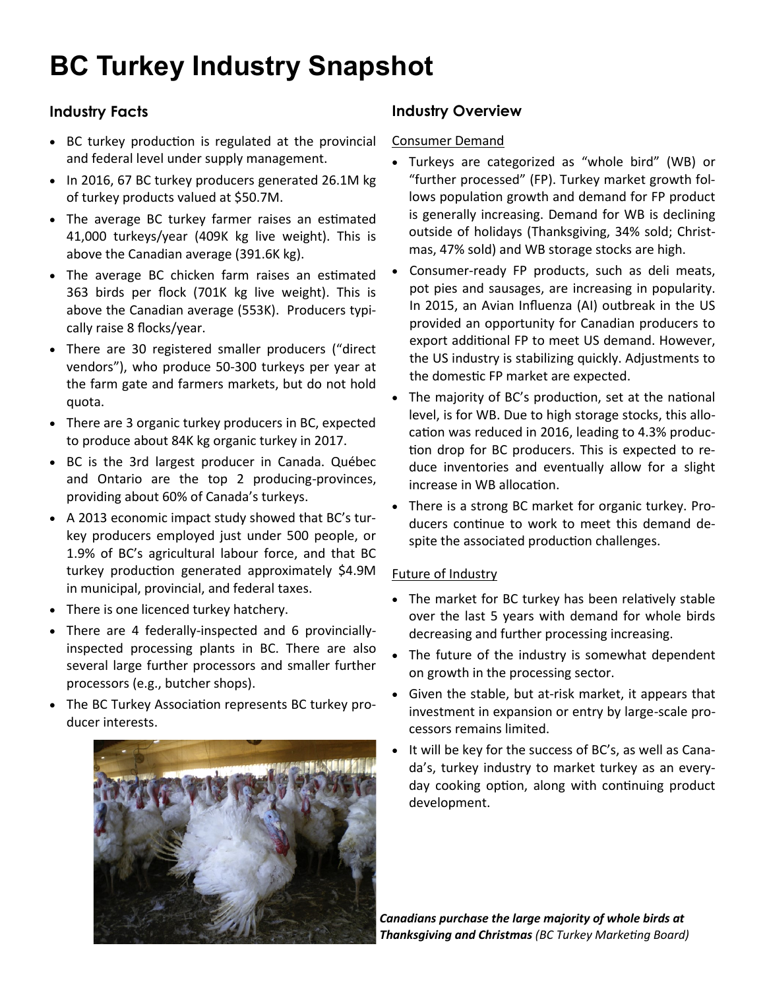# **BC Turkey Industry Snapshot**

## **Industry Facts**

- BC turkey production is regulated at the provincial and federal level under supply management.
- In 2016, 67 BC turkey producers generated 26.1M kg of turkey products valued at \$50.7M.
- The average BC turkey farmer raises an estimated 41,000 turkeys/year (409K kg live weight). This is above the Canadian average (391.6K kg).
- The average BC chicken farm raises an estimated 363 birds per flock (701K kg live weight). This is above the Canadian average (553K). Producers typically raise 8 flocks/year.
- There are 30 registered smaller producers ("direct vendors"), who produce 50-300 turkeys per year at the farm gate and farmers markets, but do not hold quota.
- There are 3 organic turkey producers in BC, expected to produce about 84K kg organic turkey in 2017.
- BC is the 3rd largest producer in Canada. Québec and Ontario are the top 2 producing-provinces, providing about 60% of Canada's turkeys.
- A 2013 economic impact study showed that BC's turkey producers employed just under 500 people, or 1.9% of BC's agricultural labour force, and that BC turkey production generated approximately \$4.9M in municipal, provincial, and federal taxes.
- There is one licenced turkey hatchery.
- There are 4 federally-inspected and 6 provinciallyinspected processing plants in BC. There are also several large further processors and smaller further processors (e.g., butcher shops).
- The BC Turkey Association represents BC turkey producer interests.



## **Industry Overview**

#### Consumer Demand

- Turkeys are categorized as "whole bird" (WB) or "further processed" (FP). Turkey market growth follows population growth and demand for FP product is generally increasing. Demand for WB is declining outside of holidays (Thanksgiving, 34% sold; Christmas, 47% sold) and WB storage stocks are high.
- Consumer-ready FP products, such as deli meats, pot pies and sausages, are increasing in popularity. In 2015, an Avian Influenza (AI) outbreak in the US provided an opportunity for Canadian producers to export additional FP to meet US demand. However, the US industry is stabilizing quickly. Adjustments to the domestic FP market are expected.
- The majority of BC's production, set at the national level, is for WB. Due to high storage stocks, this allocation was reduced in 2016, leading to 4.3% production drop for BC producers. This is expected to reduce inventories and eventually allow for a slight increase in WB allocation.
- There is a strong BC market for organic turkey. Producers continue to work to meet this demand despite the associated production challenges.

#### Future of Industry

- The market for BC turkey has been relatively stable over the last 5 years with demand for whole birds decreasing and further processing increasing.
- The future of the industry is somewhat dependent on growth in the processing sector.
- Given the stable, but at-risk market, it appears that investment in expansion or entry by large-scale processors remains limited.
- It will be key for the success of BC's, as well as Canada's, turkey industry to market turkey as an everyday cooking option, along with continuing product development.

*Canadians purchase the large majority of whole birds at Thanksgiving and Christmas (BC Turkey Marketing Board)*